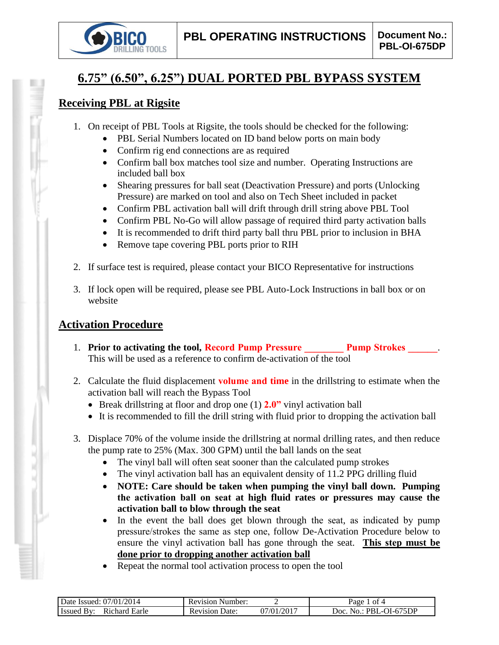

# **6.75" (6.50", 6.25") DUAL PORTED PBL BYPASS SYSTEM**

### **Receiving PBL at Rigsite**

- 1. On receipt of PBL Tools at Rigsite, the tools should be checked for the following:
	- PBL Serial Numbers located on ID band below ports on main body
	- Confirm rig end connections are as required
	- Confirm ball box matches tool size and number. Operating Instructions are included ball box
	- Shearing pressures for ball seat (Deactivation Pressure) and ports (Unlocking Pressure) are marked on tool and also on Tech Sheet included in packet
	- Confirm PBL activation ball will drift through drill string above PBL Tool
	- Confirm PBL No-Go will allow passage of required third party activation balls
	- It is recommended to drift third party ball thru PBL prior to inclusion in BHA
	- Remove tape covering PBL ports prior to RIH
- 2. If surface test is required, please contact your BICO Representative for instructions
- 3. If lock open will be required, please see PBL Auto-Lock Instructions in ball box or on website

### **Activation Procedure**

- 1. **Prior to activating the tool, Record Pump Pressure Pump Strokes 2014** This will be used as a reference to confirm de-activation of the tool
- 2. Calculate the fluid displacement **volume and time** in the drillstring to estimate when the activation ball will reach the Bypass Tool
	- Break drillstring at floor and drop one (1) **2.0"** vinyl activation ball
	- It is recommended to fill the drill string with fluid prior to dropping the activation ball
- 3. Displace 70% of the volume inside the drillstring at normal drilling rates, and then reduce the pump rate to 25% (Max. 300 GPM) until the ball lands on the seat
	- The vinyl ball will often seat sooner than the calculated pump strokes
	- The vinyl activation ball has an equivalent density of 11.2 PPG drilling fluid
	- **NOTE: Care should be taken when pumping the vinyl ball down. Pumping the activation ball on seat at high fluid rates or pressures may cause the activation ball to blow through the seat**
	- In the event the ball does get blown through the seat, as indicated by pump pressure/strokes the same as step one, follow De-Activation Procedure below to ensure the vinyl activation ball has gone through the seat. **This step must be done prior to dropping another activation ball**
	- Repeat the normal tool activation process to open the tool

| 2014<br>07/01<br>$\Delta$ Date $'$<br>Issued: | Number:<br>Revision     |                 | ot 4<br>γaσe                        |
|-----------------------------------------------|-------------------------|-----------------|-------------------------------------|
| R <sub>1</sub> chard<br>.<br>Earle<br>Issued  | Date<br><b>Revision</b> | 1/2017<br>07/01 | 675DP<br>JOC<br>PRI<br>$\mathbf{N}$ |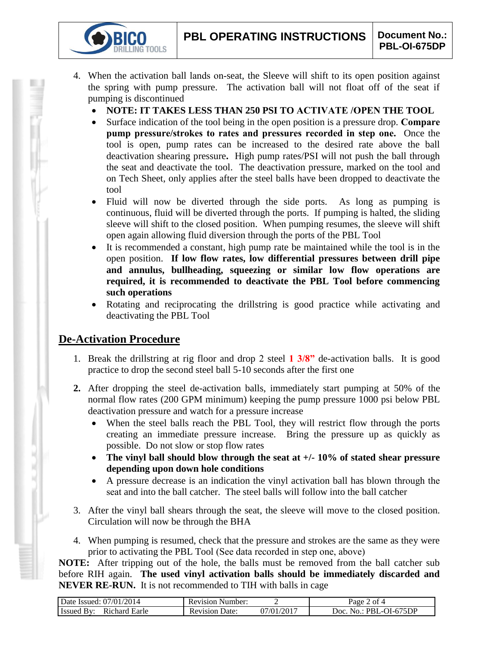- 4. When the activation ball lands on-seat, the Sleeve will shift to its open position against the spring with pump pressure. The activation ball will not float off of the seat if pumping is discontinued
	- **NOTE: IT TAKES LESS THAN 250 PSI TO ACTIVATE /OPEN THE TOOL**
	- Surface indication of the tool being in the open position is a pressure drop. **Compare pump pressure/strokes to rates and pressures recorded in step one.** Once the tool is open, pump rates can be increased to the desired rate above the ball deactivation shearing pressure**.** High pump rates/PSI will not push the ball through the seat and deactivate the tool. The deactivation pressure, marked on the tool and on Tech Sheet, only applies after the steel balls have been dropped to deactivate the tool
	- Fluid will now be diverted through the side ports. As long as pumping is continuous, fluid will be diverted through the ports. If pumping is halted, the sliding sleeve will shift to the closed position. When pumping resumes, the sleeve will shift open again allowing fluid diversion through the ports of the PBL Tool
	- It is recommended a constant, high pump rate be maintained while the tool is in the open position. **If low flow rates, low differential pressures between drill pipe and annulus, bullheading, squeezing or similar low flow operations are required, it is recommended to deactivate the PBL Tool before commencing such operations**
	- Rotating and reciprocating the drillstring is good practice while activating and deactivating the PBL Tool

## **De-Activation Procedure**

**IG TOOLS** 

- 1. Break the drillstring at rig floor and drop 2 steel **1 3/8"** de-activation balls. It is good practice to drop the second steel ball 5-10 seconds after the first one
- **2.** After dropping the steel de-activation balls, immediately start pumping at 50% of the normal flow rates (200 GPM minimum) keeping the pump pressure 1000 psi below PBL deactivation pressure and watch for a pressure increase
	- When the steel balls reach the PBL Tool, they will restrict flow through the ports creating an immediate pressure increase. Bring the pressure up as quickly as possible. Do not slow or stop flow rates
	- **The vinyl ball should blow through the seat at +/- 10% of stated shear pressure depending upon down hole conditions**
	- A pressure decrease is an indication the vinyl activation ball has blown through the seat and into the ball catcher. The steel balls will follow into the ball catcher
- 3. After the vinyl ball shears through the seat, the sleeve will move to the closed position. Circulation will now be through the BHA
- 4. When pumping is resumed, check that the pressure and strokes are the same as they were prior to activating the PBL Tool (See data recorded in step one, above)

**NOTE:** After tripping out of the hole, the balls must be removed from the ball catcher sub before RIH again. **The used vinyl activation balls should be immediately discarded and NEVER RE-RUN.** It is not recommended to TIH with balls in cage

| Date Issued: 07/01/2014 | <b>Revision Number:</b> |                           | Page 2 of 4       |
|-------------------------|-------------------------|---------------------------|-------------------|
| <b>Issued By:</b>       | Revision                | $07/01/201$ <sup>-1</sup> | No.: PBL-OI-675DP |
| Richard Earle           | Date:                   |                           | Doc.              |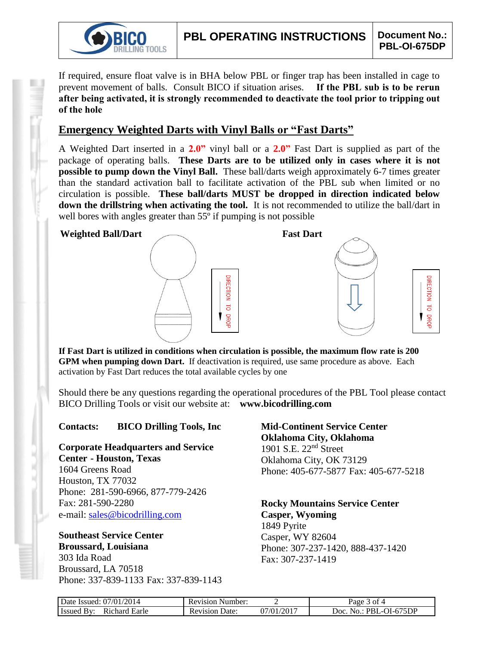

**JRECTION** 

 $\overline{d}$ 

**DROF** 1

If required, ensure float valve is in BHA below PBL or finger trap has been installed in cage to prevent movement of balls. Consult BICO if situation arises. **If the PBL sub is to be rerun after being activated, it is strongly recommended to deactivate the tool prior to tripping out of the hole**

### **Emergency Weighted Darts with Vinyl Balls or "Fast Darts"**

A Weighted Dart inserted in a **2.0"** vinyl ball or a **2.0"** Fast Dart is supplied as part of the package of operating balls. **These Darts are to be utilized only in cases where it is not possible to pump down the Vinyl Ball.** These ball/darts weigh approximately 6-7 times greater than the standard activation ball to facilitate activation of the PBL sub when limited or no circulation is possible. **These ball/darts MUST be dropped in direction indicated below down the drillstring when activating the tool.** It is not recommended to utilize the ball/dart in well bores with angles greater than 55<sup>°</sup> if pumping is not possible

#### **Weighted Ball/Dart Fast Dart**





**If Fast Dart is utilized in conditions when circulation is possible, the maximum flow rate is 200 GPM when pumping down Dart.** If deactivation is required, use same procedure as above. Each activation by Fast Dart reduces the total available cycles by one

Should there be any questions regarding the operational procedures of the PBL Tool please contact BICO Drilling Tools or visit our website at: **www.bicodrilling.com**

#### **Contacts: BICO Drilling Tools, Inc**

**Corporate Headquarters and Service Center - Houston, Texas**

1604 Greens Road Houston, TX 77032 Phone: 281-590-6966, 877-779-2426 Fax: 281-590-2280 e-mail: [sales@bicodrilling.com](mailto:sales@bicodrilling.com)

**Southeast Service Center Broussard, Louisiana**

303 Ida Road Broussard, LA 70518 Phone: 337-839-1133 Fax: 337-839-1143 **Mid-Continent Service Center Oklahoma City, Oklahoma** 1901 S.E. 22nd Street Oklahoma City, OK 73129 Phone: 405-677-5877 Fax: 405-677-5218

**Rocky Mountains Service Center Casper, Wyoming** 1849 Pyrite Casper, WY 82604 Phone: 307-237-1420, 888-437-1420 Fax: 307-237-1419

| Date Issued: 07/01/2014                 | <b>Revision Number:</b> |            | $Page$ .<br>3 of 4               |
|-----------------------------------------|-------------------------|------------|----------------------------------|
| Richard Earle<br><b>Issued</b><br>. Bv. | Revision Date:          | 07/01/2017 | PBL-OI-675DP<br>$"$ Doc.<br>No.: |